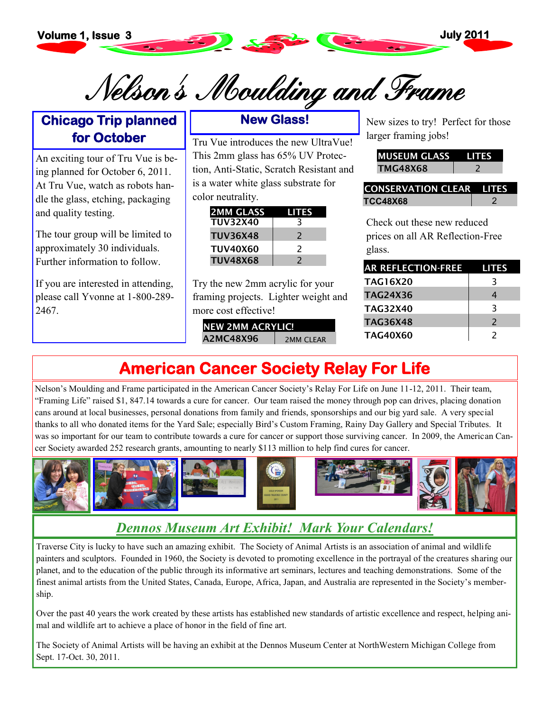

Nelson's Moulding and Frame

#### **Chicago Trip planned for October**

An exciting tour of Tru Vue is being planned for October 6, 2011. At Tru Vue, watch as robots handle the glass, etching, packaging and quality testing.

The tour group will be limited to approximately 30 individuals. Further information to follow.

If you are interested in attending, please call Yvonne at 1-800-289- 2467.

#### **New Glass!**

Tru Vue introduces the new UltraVue! This 2mm glass has 65% UV Protection, Anti-Static, Scratch Resistant and is a water white glass substrate for color neutrality.

| <b>2MM GLASS</b> | LITES                    |
|------------------|--------------------------|
| <b>TUV32X40</b>  |                          |
| <b>TUV36X48</b>  | $\mathcal{L}$            |
| <b>TUV40X60</b>  | $\overline{\phantom{a}}$ |
| <b>TUV48X68</b>  | $\overline{\phantom{a}}$ |

Try the new 2mm acrylic for your framing projects. Lighter weight and more cost effective!

| <b>INEW 2MM ACRYLIC!</b> |           |
|--------------------------|-----------|
| A2MC48X96                | 2MM CLEAR |

New sizes to try! Perfect for those larger framing jobs!

| MUSEUM GLASS |  |
|--------------|--|
| лс48х68      |  |

| <b>ICONSERVATION CLEAR LITES</b> |  |
|----------------------------------|--|
| <b>TCC48X68</b>                  |  |

Check out these new reduced prices on all AR Reflection-Free glass.

| <b>AR REFLECTION-FREE</b> | <b>LITES</b>  |
|---------------------------|---------------|
| <b>TAG16X20</b>           | 3             |
| <b>TAG24X36</b>           | 4             |
| <b>TAG32X40</b>           | 3             |
| <b>TAG36X48</b>           | $\mathcal{L}$ |
| <b>TAG40X60</b>           | $\mathcal{L}$ |

## **American Cancer Society Relay For Life**

Nelson's Moulding and Frame participated in the American Cancer Society's Relay For Life on June 11-12, 2011. Their team, "Framing Life" raised \$1, 847.14 towards a cure for cancer. Our team raised the money through pop can drives, placing donation cans around at local businesses, personal donations from family and friends, sponsorships and our big yard sale. A very special thanks to all who donated items for the Yard Sale; especially Bird's Custom Framing, Rainy Day Gallery and Special Tributes. It was so important for our team to contribute towards a cure for cancer or support those surviving cancer. In 2009, the American Cancer Society awarded 252 research grants, amounting to nearly \$113 million to help find cures for cancer.



### *Dennos Museum Art Exhibit! Mark Your Calendars!*

Traverse City is lucky to have such an amazing exhibit. The Society of Animal Artists is an association of animal and wildlife painters and sculptors. Founded in 1960, the Society is devoted to promoting excellence in the portrayal of the creatures sharing our planet, and to the education of the public through its informative art seminars, lectures and teaching demonstrations. Some of the finest animal artists from the United States, Canada, Europe, Africa, Japan, and Australia are represented in the Society's membership.

Over the past 40 years the work created by these artists has established new standards of artistic excellence and respect, helping animal and wildlife art to achieve a place of honor in the field of fine art.

The Society of Animal Artists will be having an exhibit at the Dennos Museum Center at NorthWestern Michigan College from Sept. 17-Oct. 30, 2011.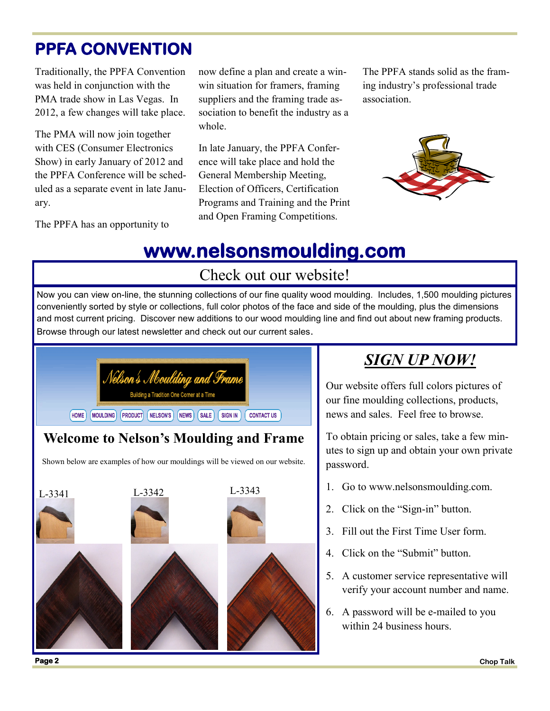## **PPFA CONVENTION**

Traditionally, the PPFA Convention was held in conjunction with the PMA trade show in Las Vegas. In 2012, a few changes will take place.

The PMA will now join together with CES (Consumer Electronics Show) in early January of 2012 and the PPFA Conference will be scheduled as a separate event in late January.

The PPFA has an opportunity to

now define a plan and create a winwin situation for framers, framing suppliers and the framing trade association to benefit the industry as a whole.

In late January, the PPFA Conference will take place and hold the General Membership Meeting, Election of Officers, Certification Programs and Training and the Print and Open Framing Competitions.

The PPFA stands solid as the framing industry's professional trade association.



# **www.nelsonsmoulding.com**

#### Check out our website!

Now you can view on-line, the stunning collections of our fine quality wood moulding. Includes, 1,500 moulding pictures conveniently sorted by style or collections, full color photos of the face and side of the moulding, plus the dimensions and most current pricing. Discover new additions to our wood moulding line and find out about new framing products. Browse through our latest newsletter and check out our current sales.



#### **Welcome to Nelson's Moulding and Frame**

Shown below are examples of how our mouldings will be viewed on our website.



## *SIGN UP NOW!*

Our website offers full colors pictures of our fine moulding collections, products, news and sales. Feel free to browse.

To obtain pricing or sales, take a few minutes to sign up and obtain your own private password.

- 1. Go to www.nelsonsmoulding.com.
- 2. Click on the "Sign-in" button.
- 3. Fill out the First Time User form.
- 4. Click on the "Submit" button.
- 5. A customer service representative will verify your account number and name.
- 6. A password will be e-mailed to you within 24 business hours.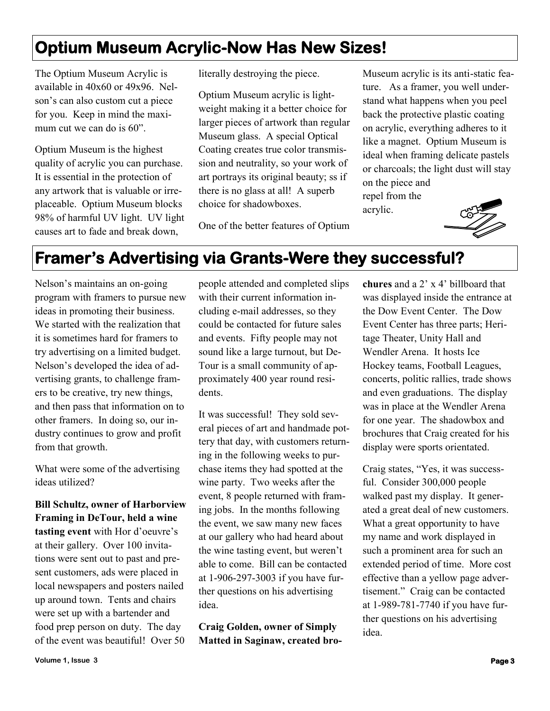## **Optium Museum Acrylic-Now Has New Sizes!**

The Optium Museum Acrylic is available in 40x60 or 49x96. Nelson's can also custom cut a piece for you. Keep in mind the maximum cut we can do is 60".

Optium Museum is the highest quality of acrylic you can purchase. It is essential in the protection of any artwork that is valuable or irreplaceable. Optium Museum blocks 98% of harmful UV light. UV light causes art to fade and break down,

literally destroying the piece.

Optium Museum acrylic is lightweight making it a better choice for larger pieces of artwork than regular Museum glass. A special Optical Coating creates true color transmission and neutrality, so your work of art portrays its original beauty; ss if there is no glass at all! A superb choice for shadowboxes.

Museum acrylic is its anti-static feature. As a framer, you well understand what happens when you peel back the protective plastic coating on acrylic, everything adheres to it like a magnet. Optium Museum is ideal when framing delicate pastels or charcoals; the light dust will stay on the piece and repel from the

acrylic.



#### One of the better features of Optium

## **Framer's Advertising via Grants-Were they successful?**

Nelson's maintains an on-going program with framers to pursue new ideas in promoting their business. We started with the realization that it is sometimes hard for framers to try advertising on a limited budget. Nelson's developed the idea of advertising grants, to challenge framers to be creative, try new things, and then pass that information on to other framers. In doing so, our industry continues to grow and profit from that growth.

What were some of the advertising ideas utilized?

**Bill Schultz, owner of Harborview Framing in DeTour, held a wine tasting event** with Hor d'oeuvre's at their gallery. Over 100 invitations were sent out to past and present customers, ads were placed in local newspapers and posters nailed up around town. Tents and chairs were set up with a bartender and food prep person on duty. The day of the event was beautiful! Over 50

people attended and completed slips with their current information including e-mail addresses, so they could be contacted for future sales and events. Fifty people may not sound like a large turnout, but De-Tour is a small community of approximately 400 year round residents.

It was successful! They sold several pieces of art and handmade pottery that day, with customers returning in the following weeks to purchase items they had spotted at the wine party. Two weeks after the event, 8 people returned with framing jobs. In the months following the event, we saw many new faces at our gallery who had heard about the wine tasting event, but weren't able to come. Bill can be contacted at 1-906-297-3003 if you have further questions on his advertising idea.

**Craig Golden, owner of Simply Matted in Saginaw, created bro-** **chures** and a 2' x 4' billboard that was displayed inside the entrance at the Dow Event Center. The Dow Event Center has three parts; Heritage Theater, Unity Hall and Wendler Arena. It hosts Ice Hockey teams, Football Leagues, concerts, politic rallies, trade shows and even graduations. The display was in place at the Wendler Arena for one year. The shadowbox and brochures that Craig created for his display were sports orientated.

Craig states, "Yes, it was successful. Consider 300,000 people walked past my display. It generated a great deal of new customers. What a great opportunity to have my name and work displayed in such a prominent area for such an extended period of time. More cost effective than a yellow page advertisement." Craig can be contacted at 1-989-781-7740 if you have further questions on his advertising idea.